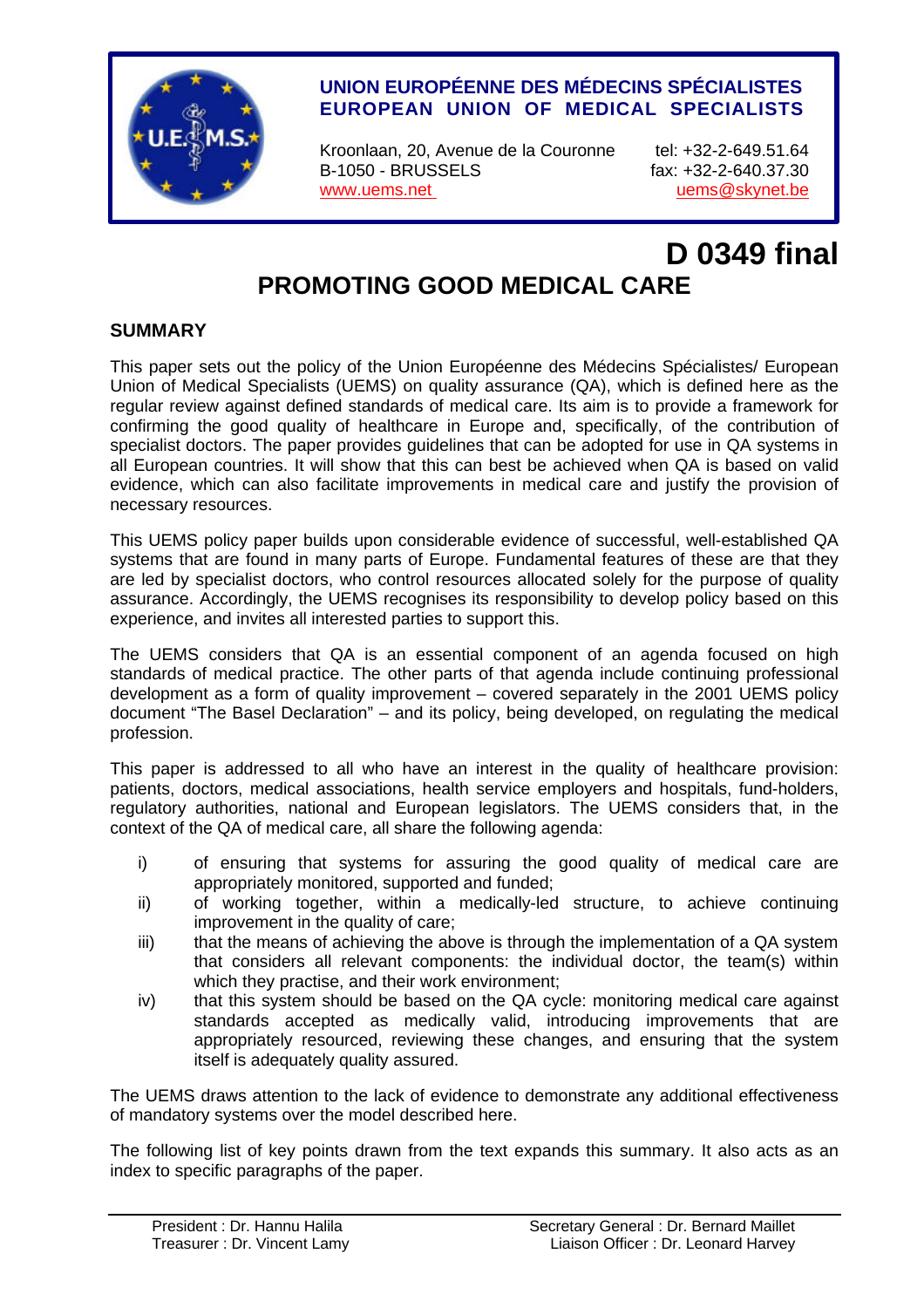

# **UNION EUROPÉENNE DES MÉDECINS SPÉCIALISTES EUROPEAN UNION OF MEDICAL SPECIALISTS**

Kroonlaan, 20, Avenue de la Couronne tel: +32-2-649.51.64 B-1050 - BRUSSELS fax: +32-2-640.37.30 www.uems.net version of the unit of the uems website version of the uems of skynet.be

# **D 0349 final PROMOTING GOOD MEDICAL CARE**

## **SUMMARY**

This paper sets out the policy of the Union Européenne des Médecins Spécialistes/ European Union of Medical Specialists (UEMS) on quality assurance (QA), which is defined here as the regular review against defined standards of medical care. Its aim is to provide a framework for confirming the good quality of healthcare in Europe and, specifically, of the contribution of specialist doctors. The paper provides guidelines that can be adopted for use in QA systems in all European countries. It will show that this can best be achieved when QA is based on valid evidence, which can also facilitate improvements in medical care and justify the provision of necessary resources.

This UEMS policy paper builds upon considerable evidence of successful, well-established QA systems that are found in many parts of Europe. Fundamental features of these are that they are led by specialist doctors, who control resources allocated solely for the purpose of quality assurance. Accordingly, the UEMS recognises its responsibility to develop policy based on this experience, and invites all interested parties to support this.

The UEMS considers that QA is an essential component of an agenda focused on high standards of medical practice. The other parts of that agenda include continuing professional development as a form of quality improvement – covered separately in the 2001 UEMS policy document "The Basel Declaration" – and its policy, being developed, on regulating the medical profession.

This paper is addressed to all who have an interest in the quality of healthcare provision: patients, doctors, medical associations, health service employers and hospitals, fund-holders, regulatory authorities, national and European legislators. The UEMS considers that, in the context of the QA of medical care, all share the following agenda:

- i) of ensuring that systems for assuring the good quality of medical care are appropriately monitored, supported and funded;
- ii) of working together, within a medically-led structure, to achieve continuing improvement in the quality of care;
- iii) that the means of achieving the above is through the implementation of a QA system that considers all relevant components: the individual doctor, the team(s) within which they practise, and their work environment;
- iv) that this system should be based on the QA cycle: monitoring medical care against standards accepted as medically valid, introducing improvements that are appropriately resourced, reviewing these changes, and ensuring that the system itself is adequately quality assured.

The UEMS draws attention to the lack of evidence to demonstrate any additional effectiveness of mandatory systems over the model described here.

The following list of key points drawn from the text expands this summary. It also acts as an index to specific paragraphs of the paper.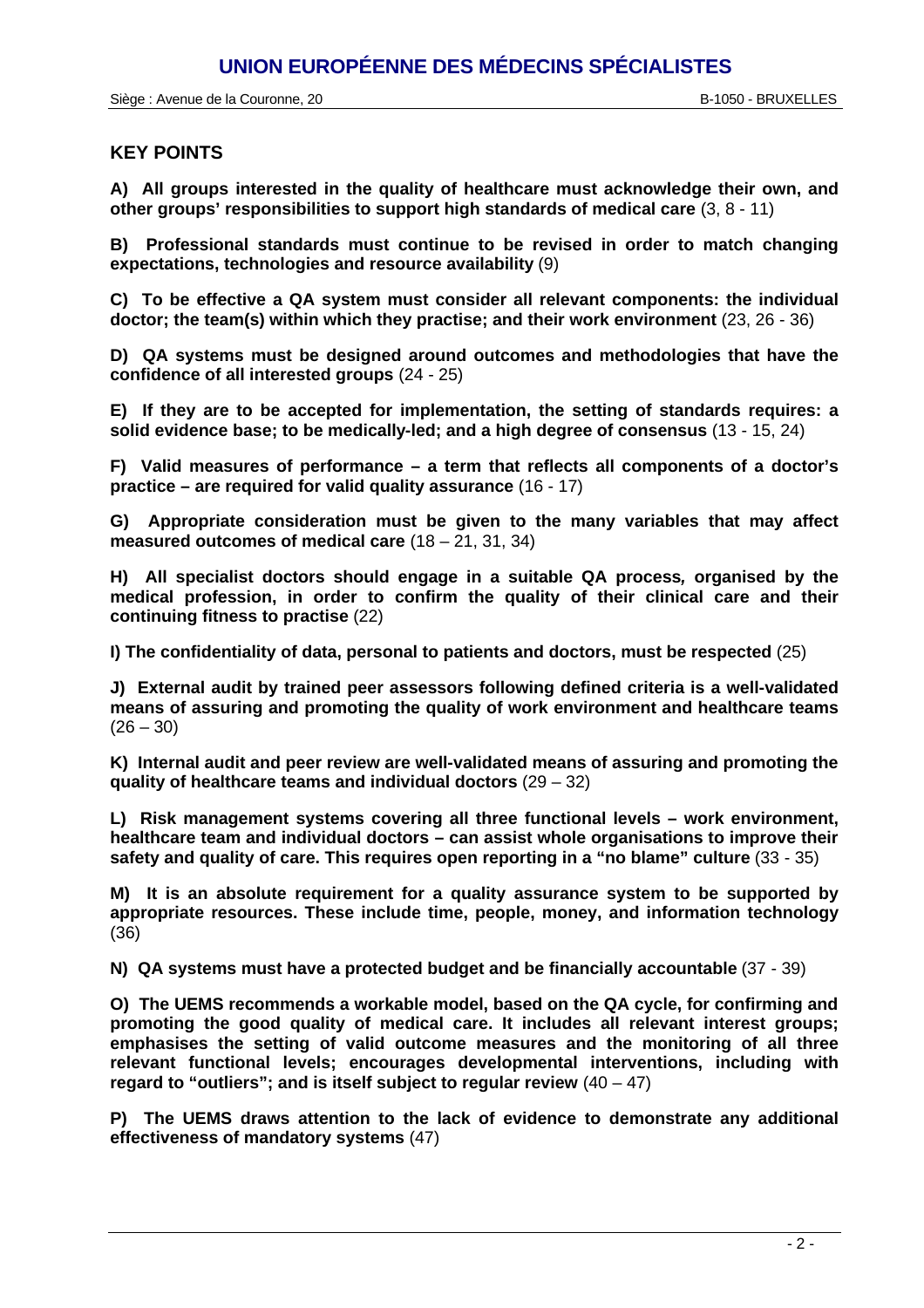#### **KEY POINTS**

**A) All groups interested in the quality of healthcare must acknowledge their own, and other groups' responsibilities to support high standards of medical care** (3, 8 - 11)

**B) Professional standards must continue to be revised in order to match changing expectations, technologies and resource availability** (9)

**C) To be effective a QA system must consider all relevant components: the individual doctor; the team(s) within which they practise; and their work environment** (23, 26 - 36)

**D) QA systems must be designed around outcomes and methodologies that have the confidence of all interested groups** (24 - 25)

**E) If they are to be accepted for implementation, the setting of standards requires: a solid evidence base; to be medically-led; and a high degree of consensus** (13 - 15, 24)

**F) Valid measures of performance – a term that reflects all components of a doctor's practice – are required for valid quality assurance** (16 - 17)

**G) Appropriate consideration must be given to the many variables that may affect measured outcomes of medical care** (18 – 21, 31, 34)

**H) All specialist doctors should engage in a suitable QA process***,* **organised by the medical profession, in order to confirm the quality of their clinical care and their continuing fitness to practise** (22)

**I) The confidentiality of data, personal to patients and doctors, must be respected** (25)

**J) External audit by trained peer assessors following defined criteria is a well-validated means of assuring and promoting the quality of work environment and healthcare teams**  $(26 - 30)$ 

**K) Internal audit and peer review are well-validated means of assuring and promoting the quality of healthcare teams and individual doctors** (29 – 32)

**L) Risk management systems covering all three functional levels – work environment, healthcare team and individual doctors – can assist whole organisations to improve their safety and quality of care. This requires open reporting in a "no blame" culture** (33 - 35)

**M) It is an absolute requirement for a quality assurance system to be supported by appropriate resources. These include time, people, money, and information technology** (36)

**N) QA systems must have a protected budget and be financially accountable** (37 - 39)

**O) The UEMS recommends a workable model, based on the QA cycle, for confirming and promoting the good quality of medical care. It includes all relevant interest groups; emphasises the setting of valid outcome measures and the monitoring of all three relevant functional levels; encourages developmental interventions, including with regard to "outliers"; and is itself subject to regular review** (40 – 47)

**P) The UEMS draws attention to the lack of evidence to demonstrate any additional effectiveness of mandatory systems** (47)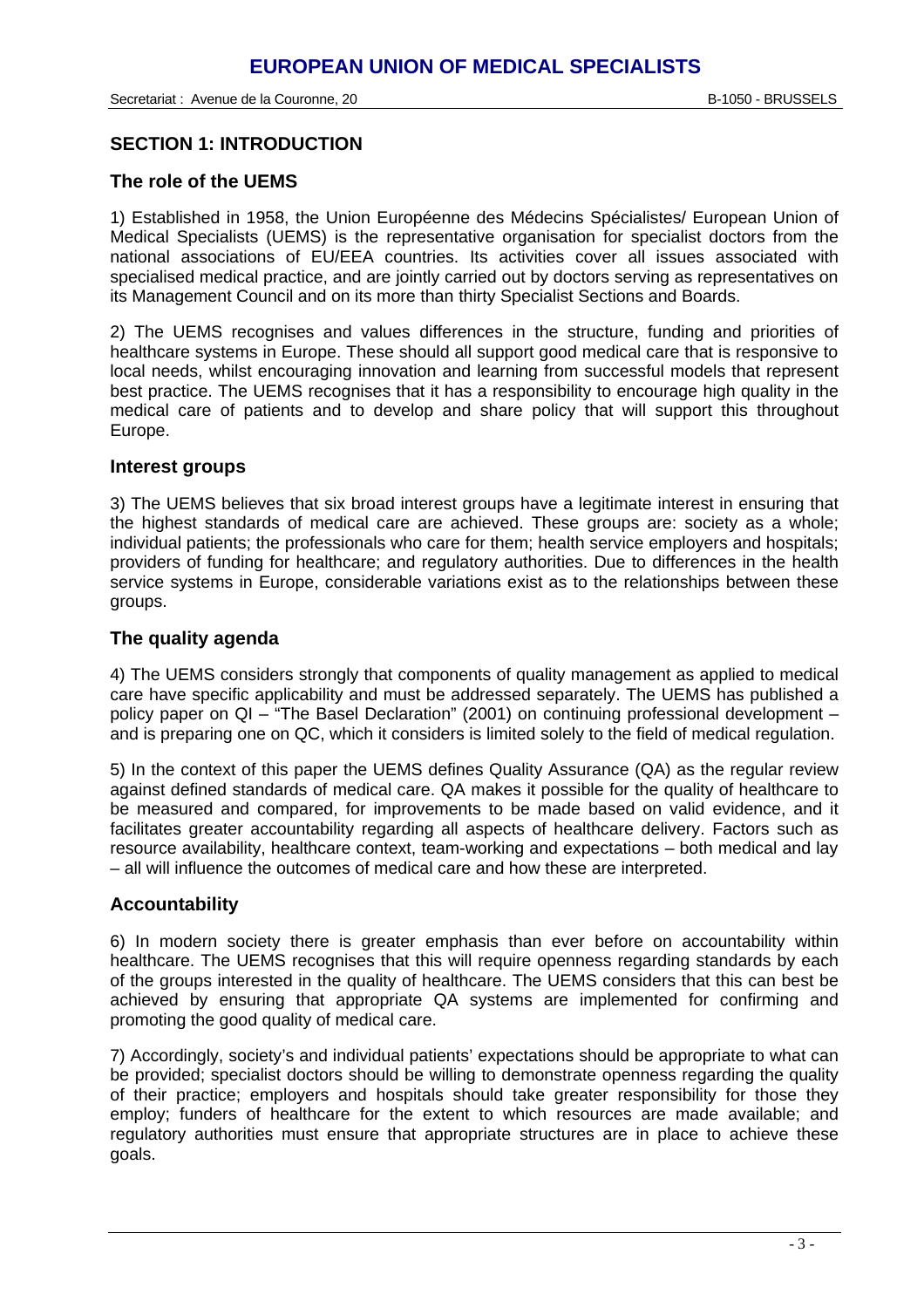#### **SECTION 1: INTRODUCTION**

#### **The role of the UEMS**

1) Established in 1958, the Union Européenne des Médecins Spécialistes/ European Union of Medical Specialists (UEMS) is the representative organisation for specialist doctors from the national associations of EU/EEA countries. Its activities cover all issues associated with specialised medical practice, and are jointly carried out by doctors serving as representatives on its Management Council and on its more than thirty Specialist Sections and Boards.

2) The UEMS recognises and values differences in the structure, funding and priorities of healthcare systems in Europe. These should all support good medical care that is responsive to local needs, whilst encouraging innovation and learning from successful models that represent best practice. The UEMS recognises that it has a responsibility to encourage high quality in the medical care of patients and to develop and share policy that will support this throughout Europe.

#### **Interest groups**

3) The UEMS believes that six broad interest groups have a legitimate interest in ensuring that the highest standards of medical care are achieved. These groups are: society as a whole; individual patients; the professionals who care for them; health service employers and hospitals; providers of funding for healthcare; and regulatory authorities. Due to differences in the health service systems in Europe, considerable variations exist as to the relationships between these groups.

#### **The quality agenda**

4) The UEMS considers strongly that components of quality management as applied to medical care have specific applicability and must be addressed separately. The UEMS has published a policy paper on QI – "The Basel Declaration" (2001) on continuing professional development – and is preparing one on QC, which it considers is limited solely to the field of medical regulation.

5) In the context of this paper the UEMS defines Quality Assurance (QA) as the regular review against defined standards of medical care. QA makes it possible for the quality of healthcare to be measured and compared, for improvements to be made based on valid evidence, and it facilitates greater accountability regarding all aspects of healthcare delivery. Factors such as resource availability, healthcare context, team-working and expectations – both medical and lay – all will influence the outcomes of medical care and how these are interpreted.

#### **Accountability**

6) In modern society there is greater emphasis than ever before on accountability within healthcare. The UEMS recognises that this will require openness regarding standards by each of the groups interested in the quality of healthcare. The UEMS considers that this can best be achieved by ensuring that appropriate QA systems are implemented for confirming and promoting the good quality of medical care.

7) Accordingly, society's and individual patients' expectations should be appropriate to what can be provided; specialist doctors should be willing to demonstrate openness regarding the quality of their practice; employers and hospitals should take greater responsibility for those they employ; funders of healthcare for the extent to which resources are made available; and regulatory authorities must ensure that appropriate structures are in place to achieve these goals.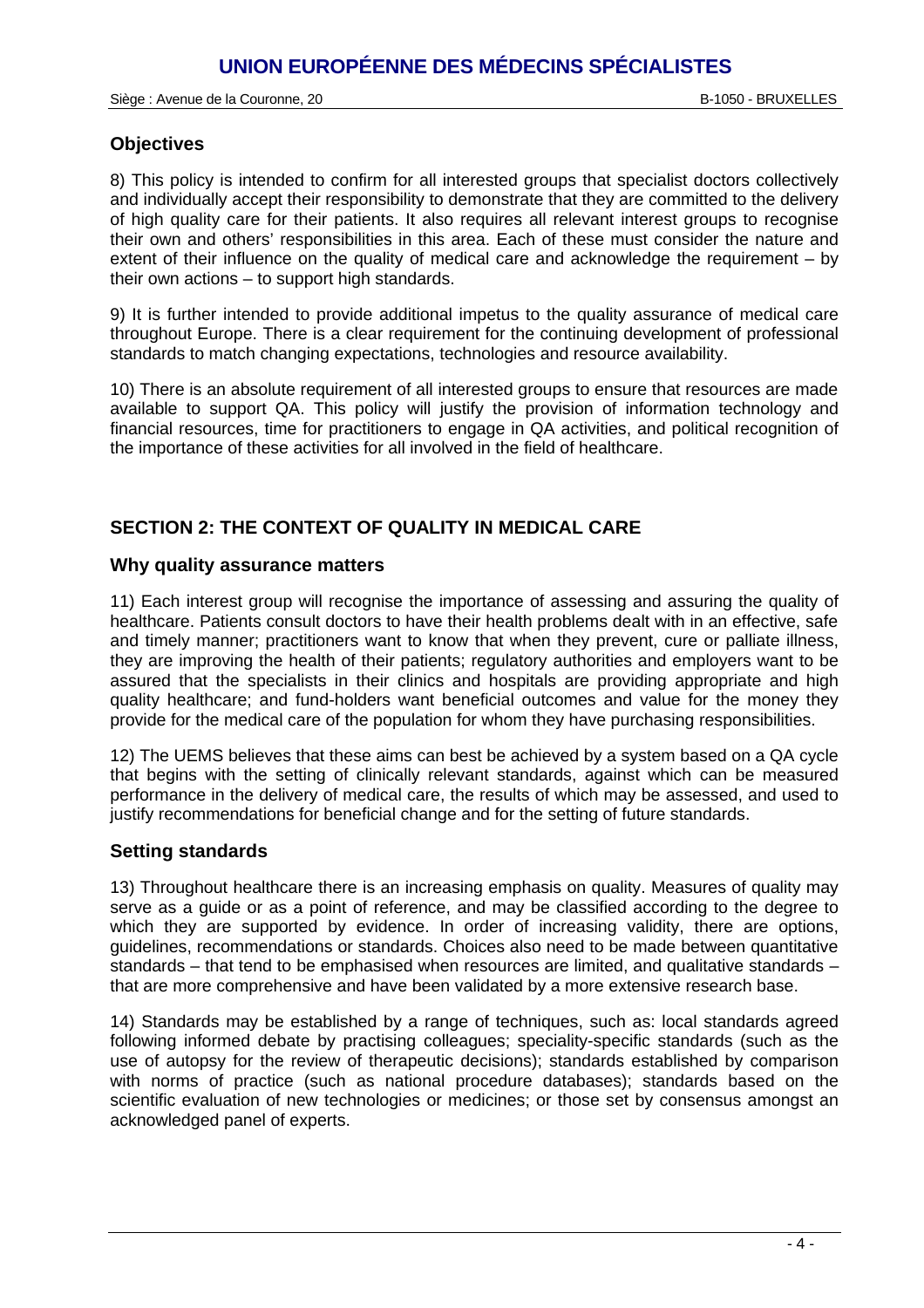#### **Objectives**

8) This policy is intended to confirm for all interested groups that specialist doctors collectively and individually accept their responsibility to demonstrate that they are committed to the delivery of high quality care for their patients. It also requires all relevant interest groups to recognise their own and others' responsibilities in this area. Each of these must consider the nature and extent of their influence on the quality of medical care and acknowledge the requirement – by their own actions – to support high standards.

9) It is further intended to provide additional impetus to the quality assurance of medical care throughout Europe. There is a clear requirement for the continuing development of professional standards to match changing expectations, technologies and resource availability.

10) There is an absolute requirement of all interested groups to ensure that resources are made available to support QA. This policy will justify the provision of information technology and financial resources, time for practitioners to engage in QA activities, and political recognition of the importance of these activities for all involved in the field of healthcare.

## **SECTION 2: THE CONTEXT OF QUALITY IN MEDICAL CARE**

#### **Why quality assurance matters**

11) Each interest group will recognise the importance of assessing and assuring the quality of healthcare. Patients consult doctors to have their health problems dealt with in an effective, safe and timely manner; practitioners want to know that when they prevent, cure or palliate illness, they are improving the health of their patients; regulatory authorities and employers want to be assured that the specialists in their clinics and hospitals are providing appropriate and high quality healthcare; and fund-holders want beneficial outcomes and value for the money they provide for the medical care of the population for whom they have purchasing responsibilities.

12) The UEMS believes that these aims can best be achieved by a system based on a QA cycle that begins with the setting of clinically relevant standards, against which can be measured performance in the delivery of medical care, the results of which may be assessed, and used to justify recommendations for beneficial change and for the setting of future standards.

### **Setting standards**

13) Throughout healthcare there is an increasing emphasis on quality. Measures of quality may serve as a guide or as a point of reference, and may be classified according to the degree to which they are supported by evidence. In order of increasing validity, there are options, guidelines, recommendations or standards. Choices also need to be made between quantitative standards – that tend to be emphasised when resources are limited, and qualitative standards – that are more comprehensive and have been validated by a more extensive research base.

14) Standards may be established by a range of techniques, such as: local standards agreed following informed debate by practising colleagues; speciality-specific standards (such as the use of autopsy for the review of therapeutic decisions); standards established by comparison with norms of practice (such as national procedure databases); standards based on the scientific evaluation of new technologies or medicines; or those set by consensus amongst an acknowledged panel of experts.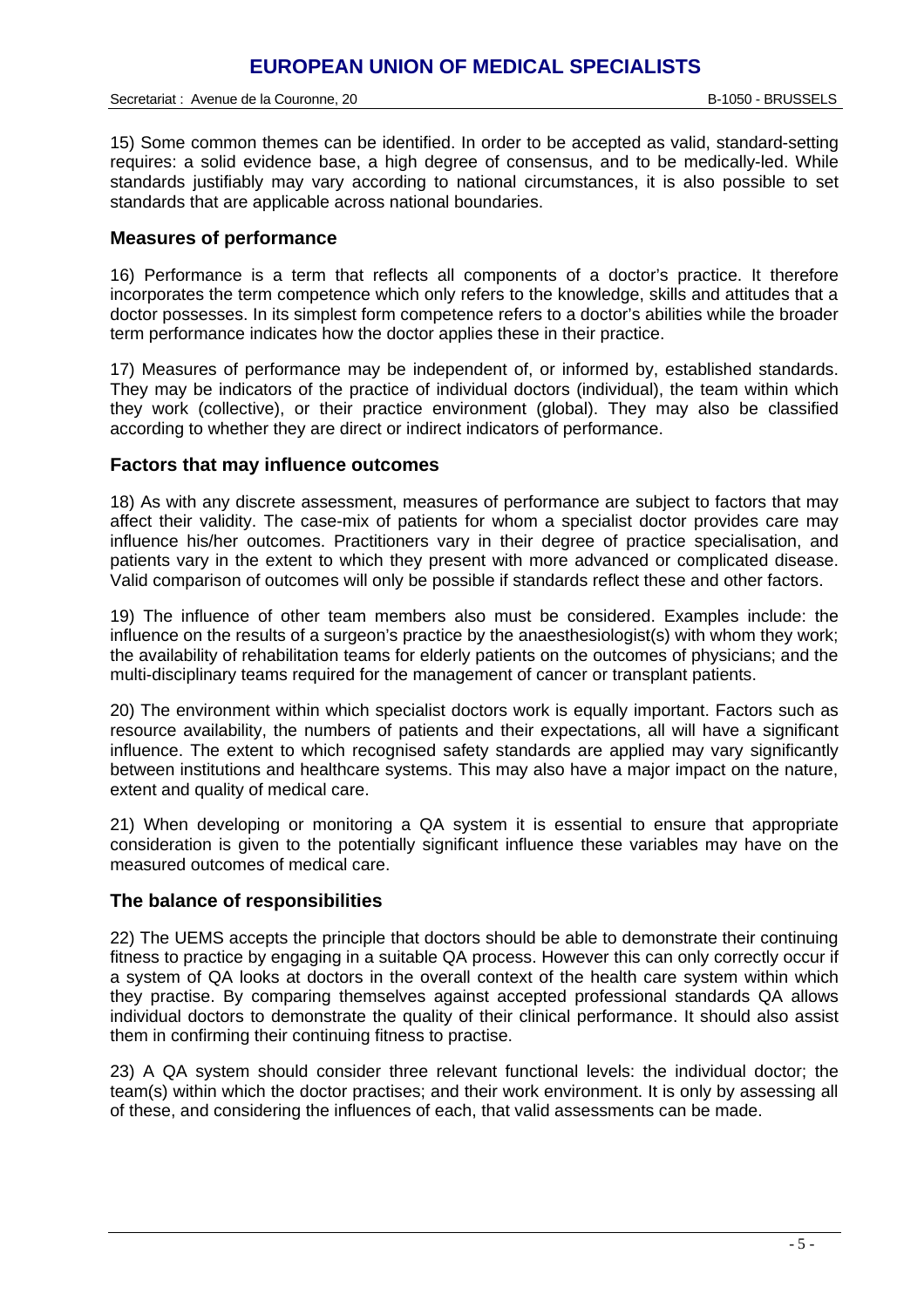15) Some common themes can be identified. In order to be accepted as valid, standard-setting requires: a solid evidence base, a high degree of consensus, and to be medically-led. While standards justifiably may vary according to national circumstances, it is also possible to set standards that are applicable across national boundaries.

#### **Measures of performance**

16) Performance is a term that reflects all components of a doctor's practice. It therefore incorporates the term competence which only refers to the knowledge, skills and attitudes that a doctor possesses. In its simplest form competence refers to a doctor's abilities while the broader term performance indicates how the doctor applies these in their practice.

17) Measures of performance may be independent of, or informed by, established standards. They may be indicators of the practice of individual doctors (individual), the team within which they work (collective), or their practice environment (global). They may also be classified according to whether they are direct or indirect indicators of performance.

#### **Factors that may influence outcomes**

18) As with any discrete assessment, measures of performance are subject to factors that may affect their validity. The case-mix of patients for whom a specialist doctor provides care may influence his/her outcomes. Practitioners vary in their degree of practice specialisation, and patients vary in the extent to which they present with more advanced or complicated disease. Valid comparison of outcomes will only be possible if standards reflect these and other factors.

19) The influence of other team members also must be considered. Examples include: the influence on the results of a surgeon's practice by the anaesthesiologist(s) with whom they work; the availability of rehabilitation teams for elderly patients on the outcomes of physicians; and the multi-disciplinary teams required for the management of cancer or transplant patients.

20) The environment within which specialist doctors work is equally important. Factors such as resource availability, the numbers of patients and their expectations, all will have a significant influence. The extent to which recognised safety standards are applied may vary significantly between institutions and healthcare systems. This may also have a major impact on the nature, extent and quality of medical care.

21) When developing or monitoring a QA system it is essential to ensure that appropriate consideration is given to the potentially significant influence these variables may have on the measured outcomes of medical care.

#### **The balance of responsibilities**

22) The UEMS accepts the principle that doctors should be able to demonstrate their continuing fitness to practice by engaging in a suitable QA process. However this can only correctly occur if a system of QA looks at doctors in the overall context of the health care system within which they practise. By comparing themselves against accepted professional standards QA allows individual doctors to demonstrate the quality of their clinical performance. It should also assist them in confirming their continuing fitness to practise.

23) A QA system should consider three relevant functional levels: the individual doctor; the team(s) within which the doctor practises; and their work environment. It is only by assessing all of these, and considering the influences of each, that valid assessments can be made.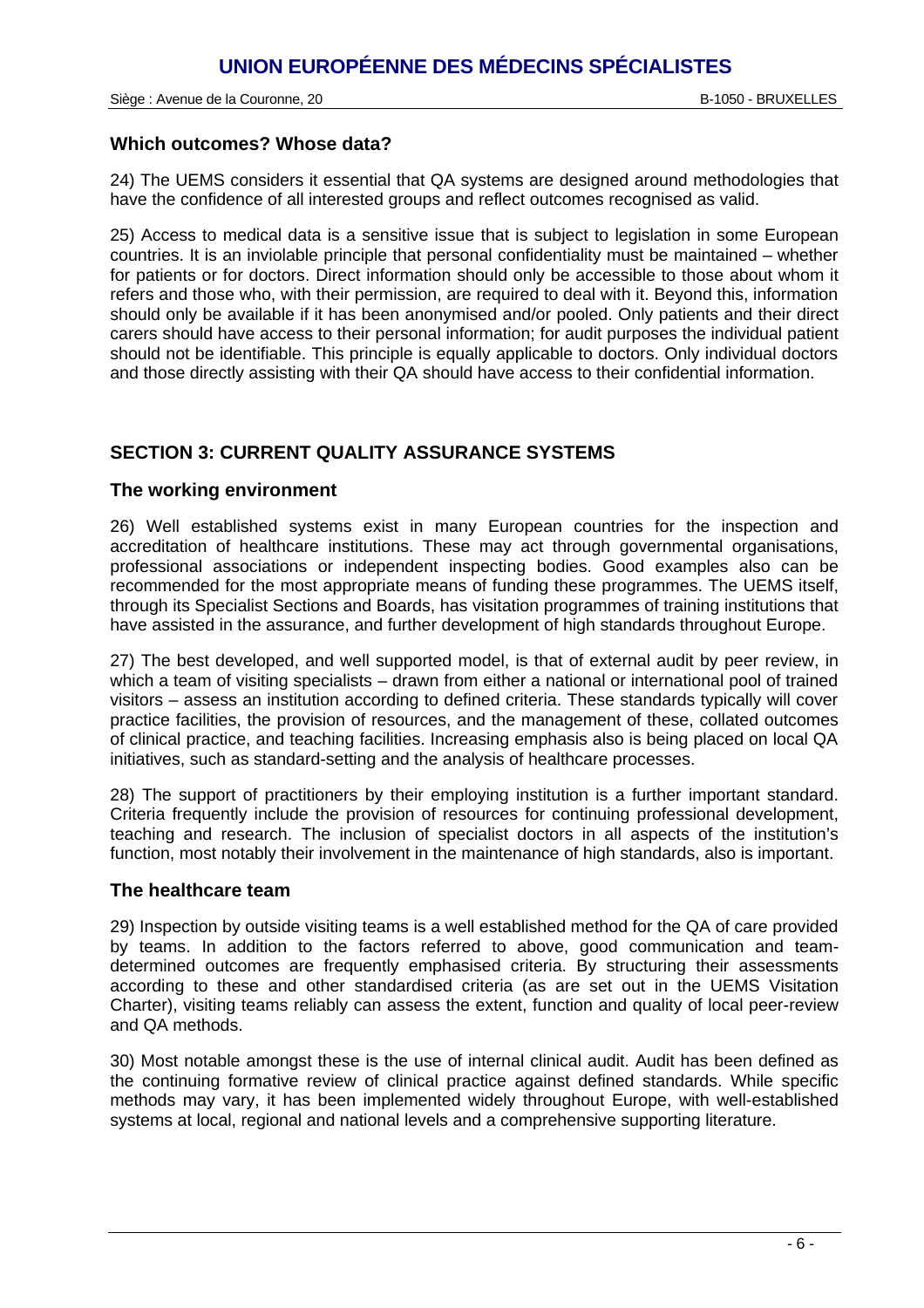#### **Which outcomes? Whose data?**

24) The UEMS considers it essential that QA systems are designed around methodologies that have the confidence of all interested groups and reflect outcomes recognised as valid.

25) Access to medical data is a sensitive issue that is subject to legislation in some European countries. It is an inviolable principle that personal confidentiality must be maintained – whether for patients or for doctors. Direct information should only be accessible to those about whom it refers and those who, with their permission, are required to deal with it. Beyond this, information should only be available if it has been anonymised and/or pooled. Only patients and their direct carers should have access to their personal information; for audit purposes the individual patient should not be identifiable. This principle is equally applicable to doctors. Only individual doctors and those directly assisting with their QA should have access to their confidential information.

# **SECTION 3: CURRENT QUALITY ASSURANCE SYSTEMS**

#### **The working environment**

26) Well established systems exist in many European countries for the inspection and accreditation of healthcare institutions. These may act through governmental organisations, professional associations or independent inspecting bodies. Good examples also can be recommended for the most appropriate means of funding these programmes. The UEMS itself, through its Specialist Sections and Boards, has visitation programmes of training institutions that have assisted in the assurance, and further development of high standards throughout Europe.

27) The best developed, and well supported model, is that of external audit by peer review, in which a team of visiting specialists – drawn from either a national or international pool of trained visitors – assess an institution according to defined criteria. These standards typically will cover practice facilities, the provision of resources, and the management of these, collated outcomes of clinical practice, and teaching facilities. Increasing emphasis also is being placed on local QA initiatives, such as standard-setting and the analysis of healthcare processes.

28) The support of practitioners by their employing institution is a further important standard. Criteria frequently include the provision of resources for continuing professional development, teaching and research. The inclusion of specialist doctors in all aspects of the institution's function, most notably their involvement in the maintenance of high standards, also is important.

#### **The healthcare team**

29) Inspection by outside visiting teams is a well established method for the QA of care provided by teams. In addition to the factors referred to above, good communication and teamdetermined outcomes are frequently emphasised criteria. By structuring their assessments according to these and other standardised criteria (as are set out in the UEMS Visitation Charter), visiting teams reliably can assess the extent, function and quality of local peer-review and QA methods.

30) Most notable amongst these is the use of internal clinical audit. Audit has been defined as the continuing formative review of clinical practice against defined standards. While specific methods may vary, it has been implemented widely throughout Europe, with well-established systems at local, regional and national levels and a comprehensive supporting literature.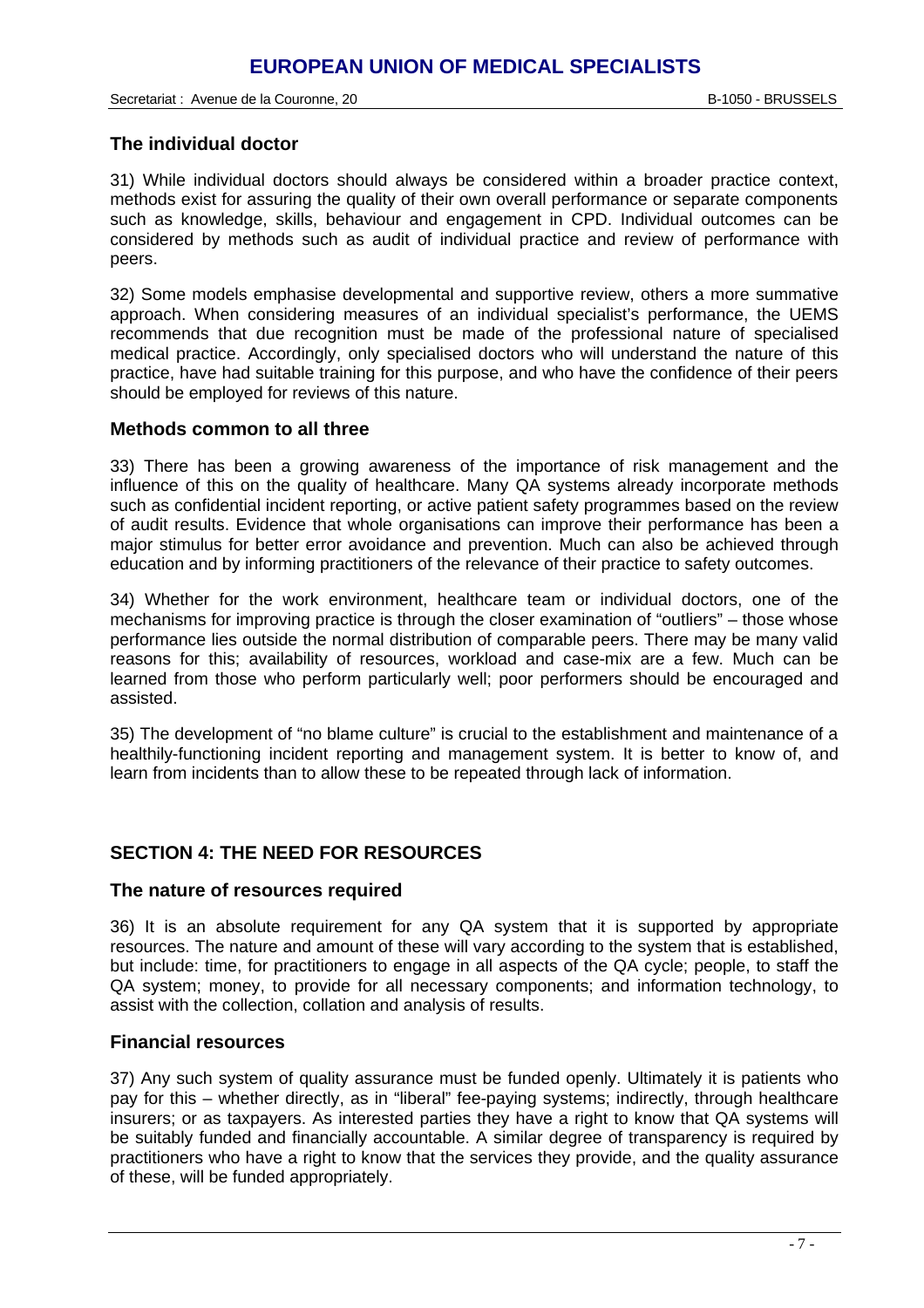#### **The individual doctor**

31) While individual doctors should always be considered within a broader practice context, methods exist for assuring the quality of their own overall performance or separate components such as knowledge, skills, behaviour and engagement in CPD. Individual outcomes can be considered by methods such as audit of individual practice and review of performance with peers.

32) Some models emphasise developmental and supportive review, others a more summative approach. When considering measures of an individual specialist's performance, the UEMS recommends that due recognition must be made of the professional nature of specialised medical practice. Accordingly, only specialised doctors who will understand the nature of this practice, have had suitable training for this purpose, and who have the confidence of their peers should be employed for reviews of this nature.

#### **Methods common to all three**

33) There has been a growing awareness of the importance of risk management and the influence of this on the quality of healthcare. Many QA systems already incorporate methods such as confidential incident reporting, or active patient safety programmes based on the review of audit results. Evidence that whole organisations can improve their performance has been a major stimulus for better error avoidance and prevention. Much can also be achieved through education and by informing practitioners of the relevance of their practice to safety outcomes.

34) Whether for the work environment, healthcare team or individual doctors, one of the mechanisms for improving practice is through the closer examination of "outliers" – those whose performance lies outside the normal distribution of comparable peers. There may be many valid reasons for this; availability of resources, workload and case-mix are a few. Much can be learned from those who perform particularly well; poor performers should be encouraged and assisted.

35) The development of "no blame culture" is crucial to the establishment and maintenance of a healthily-functioning incident reporting and management system. It is better to know of, and learn from incidents than to allow these to be repeated through lack of information.

# **SECTION 4: THE NEED FOR RESOURCES**

#### **The nature of resources required**

36) It is an absolute requirement for any QA system that it is supported by appropriate resources. The nature and amount of these will vary according to the system that is established, but include: time, for practitioners to engage in all aspects of the QA cycle; people, to staff the QA system; money, to provide for all necessary components; and information technology, to assist with the collection, collation and analysis of results.

#### **Financial resources**

37) Any such system of quality assurance must be funded openly. Ultimately it is patients who pay for this – whether directly, as in "liberal" fee-paying systems; indirectly, through healthcare insurers; or as taxpayers. As interested parties they have a right to know that QA systems will be suitably funded and financially accountable. A similar degree of transparency is required by practitioners who have a right to know that the services they provide, and the quality assurance of these, will be funded appropriately.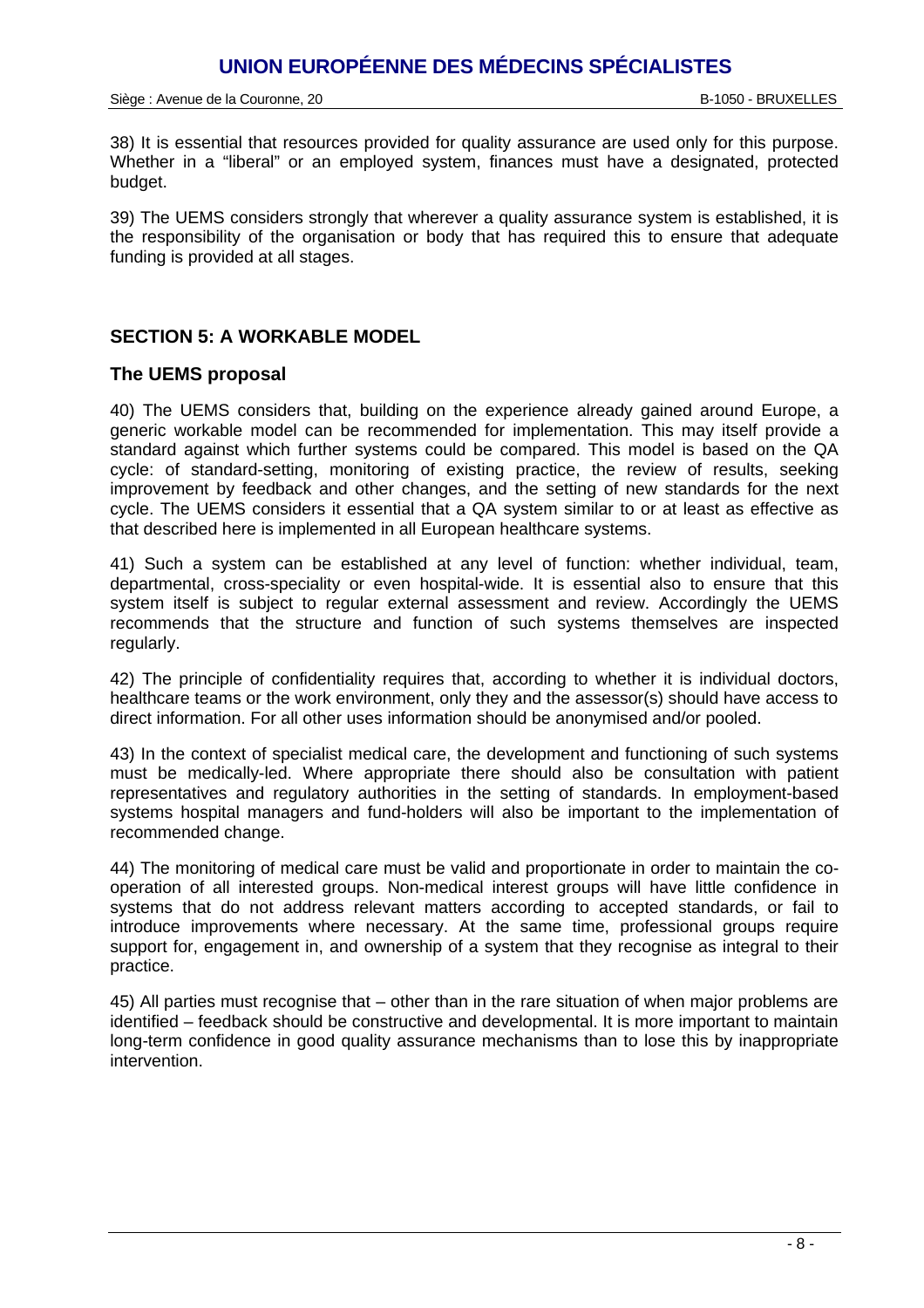Siège : Avenue de la Couronne, 20 B-1050 - BRUXELLES

38) It is essential that resources provided for quality assurance are used only for this purpose. Whether in a "liberal" or an employed system, finances must have a designated, protected budget.

39) The UEMS considers strongly that wherever a quality assurance system is established, it is the responsibility of the organisation or body that has required this to ensure that adequate funding is provided at all stages.

## **SECTION 5: A WORKABLE MODEL**

#### **The UEMS proposal**

40) The UEMS considers that, building on the experience already gained around Europe, a generic workable model can be recommended for implementation. This may itself provide a standard against which further systems could be compared. This model is based on the QA cycle: of standard-setting, monitoring of existing practice, the review of results, seeking improvement by feedback and other changes, and the setting of new standards for the next cycle. The UEMS considers it essential that a QA system similar to or at least as effective as that described here is implemented in all European healthcare systems.

41) Such a system can be established at any level of function: whether individual, team, departmental, cross-speciality or even hospital-wide. It is essential also to ensure that this system itself is subject to regular external assessment and review. Accordingly the UEMS recommends that the structure and function of such systems themselves are inspected regularly.

42) The principle of confidentiality requires that, according to whether it is individual doctors, healthcare teams or the work environment, only they and the assessor(s) should have access to direct information. For all other uses information should be anonymised and/or pooled.

43) In the context of specialist medical care, the development and functioning of such systems must be medically-led. Where appropriate there should also be consultation with patient representatives and regulatory authorities in the setting of standards. In employment-based systems hospital managers and fund-holders will also be important to the implementation of recommended change.

44) The monitoring of medical care must be valid and proportionate in order to maintain the cooperation of all interested groups. Non-medical interest groups will have little confidence in systems that do not address relevant matters according to accepted standards, or fail to introduce improvements where necessary. At the same time, professional groups require support for, engagement in, and ownership of a system that they recognise as integral to their practice.

45) All parties must recognise that – other than in the rare situation of when major problems are identified – feedback should be constructive and developmental. It is more important to maintain long-term confidence in good quality assurance mechanisms than to lose this by inappropriate intervention.